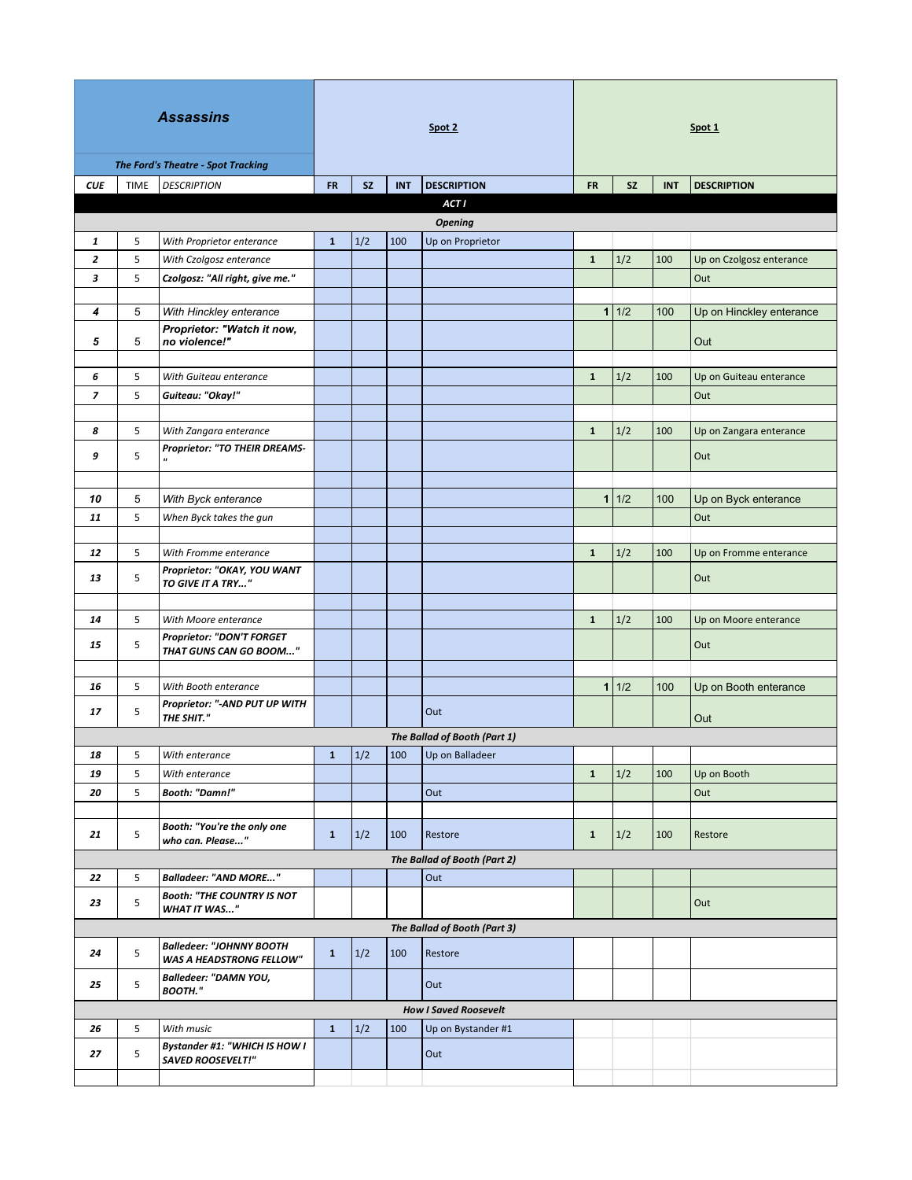| <b>Assassins</b>             |             |                                                                    | Spot 2       |     |            |                              | Spot 1       |       |            |                                |
|------------------------------|-------------|--------------------------------------------------------------------|--------------|-----|------------|------------------------------|--------------|-------|------------|--------------------------------|
| <b>CUE</b>                   | <b>TIME</b> | <b>The Ford's Theatre - Spot Tracking</b><br><b>DESCRIPTION</b>    | <b>FR</b>    | SZ. | <b>INT</b> | <b>DESCRIPTION</b>           | <b>FR</b>    | SZ.   | <b>INT</b> | <b>DESCRIPTION</b>             |
|                              |             |                                                                    |              |     |            | <b>ACT I</b>                 |              |       |            |                                |
| <b>Opening</b>               |             |                                                                    |              |     |            |                              |              |       |            |                                |
| 1                            | 5           | With Proprietor enterance                                          | $\mathbf{1}$ | 1/2 | 100        | Up on Proprietor             |              |       |            |                                |
| 2                            | 5           | With Czolgosz enterance                                            |              |     |            |                              | $\mathbf{1}$ | 1/2   | 100        | Up on Czolgosz enterance       |
| 3                            | 5           | Czolgosz: "All right, give me."                                    |              |     |            |                              |              |       |            | Out                            |
| 4                            | 5           | With Hinckley enterance                                            |              |     |            |                              |              | 1 1/2 | 100        | Up on Hinckley enterance       |
|                              |             | Proprietor: "Watch it now,                                         |              |     |            |                              |              |       |            |                                |
| 5                            | 5           | no violence!"                                                      |              |     |            |                              |              |       |            | Out                            |
|                              |             |                                                                    |              |     |            |                              | $\mathbf{1}$ |       |            |                                |
| 6<br>$\overline{z}$          | 5<br>5      | With Guiteau enterance<br>Guiteau: "Okay!"                         |              |     |            |                              |              | 1/2   | 100        | Up on Guiteau enterance<br>Out |
|                              |             |                                                                    |              |     |            |                              |              |       |            |                                |
| 8                            | 5           | With Zangara enterance                                             |              |     |            |                              | $\mathbf{1}$ | 1/2   | 100        | Up on Zangara enterance        |
| 9                            | 5           | Proprietor: "TO THEIR DREAMS-<br>"                                 |              |     |            |                              |              |       |            | Out                            |
|                              |             |                                                                    |              |     |            |                              |              |       |            |                                |
| 10                           | 5           | With Byck enterance                                                |              |     |            |                              | $\mathbf{1}$ | 1/2   | 100        | Up on Byck enterance           |
| 11                           | 5           | When Byck takes the gun                                            |              |     |            |                              |              |       |            | Out                            |
|                              |             |                                                                    |              |     |            |                              |              |       |            |                                |
| 12                           | 5           | With Fromme enterance                                              |              |     |            |                              | $\mathbf{1}$ | 1/2   | 100        | Up on Fromme enterance         |
| 13                           | 5           | Proprietor: "OKAY, YOU WANT<br>TO GIVE IT A TRY"                   |              |     |            |                              |              |       |            | Out                            |
|                              |             |                                                                    |              |     |            |                              |              |       |            |                                |
| 14                           | 5           | With Moore enterance<br><b>Proprietor: "DON'T FORGET</b>           |              |     |            |                              | $\mathbf{1}$ | 1/2   | 100        | Up on Moore enterance          |
| 15                           | 5           | THAT GUNS CAN GO BOOM"                                             |              |     |            |                              |              |       |            | Out                            |
| 16                           | 5           | With Booth enterance                                               |              |     |            |                              |              | 1 1/2 | 100        | Up on Booth enterance          |
| 17                           | 5           | Proprietor: "-AND PUT UP WITH<br>THE SHIT."                        |              |     |            | Out                          |              |       |            | Out                            |
|                              |             |                                                                    |              |     |            | The Ballad of Booth (Part 1) |              |       |            |                                |
| 18                           | 5           | With enterance                                                     | $\mathbf{1}$ | 1/2 | 100        | Up on Balladeer              |              |       |            |                                |
| 19                           | 5           | With enterance                                                     |              |     |            |                              | $\mathbf{1}$ | 1/2   | 100        | Up on Booth                    |
| 20                           | 5           | <b>Booth: "Damn!"</b>                                              |              |     |            | Out                          |              |       |            | Out                            |
| 21                           | 5           | Booth: "You're the only one<br>who can. Please"                    | $\mathbf{1}$ | 1/2 | 100        | Restore                      | $\mathbf{1}$ | 1/2   | 100        | Restore                        |
|                              |             |                                                                    |              |     |            | The Ballad of Booth (Part 2) |              |       |            |                                |
| 22                           | 5           | <b>Balladeer: "AND MORE"</b>                                       |              |     |            | Out                          |              |       |            |                                |
| 23                           | 5           | <b>Booth: "THE COUNTRY IS NOT</b><br><b>WHAT IT WAS"</b>           |              |     |            |                              |              |       |            | Out                            |
| The Ballad of Booth (Part 3) |             |                                                                    |              |     |            |                              |              |       |            |                                |
| 24                           | 5           | <b>Balledeer: "JOHNNY BOOTH</b><br><b>WAS A HEADSTRONG FELLOW"</b> | $\mathbf{1}$ | 1/2 | 100        | Restore                      |              |       |            |                                |
| 25                           | 5           | Balledeer: "DAMN YOU,<br>BOOTH."                                   |              |     |            | Out                          |              |       |            |                                |
|                              |             |                                                                    |              |     |            | <b>How I Saved Roosevelt</b> |              |       |            |                                |
| 26                           | 5           | With music<br><b>Bystander #1: "WHICH IS HOW I</b>                 | $\mathbf{1}$ | 1/2 | 100        | Up on Bystander #1           |              |       |            |                                |
| 27                           | 5           | <b>SAVED ROOSEVELT!"</b>                                           |              |     |            | Out                          |              |       |            |                                |
|                              |             |                                                                    |              |     |            |                              |              |       |            |                                |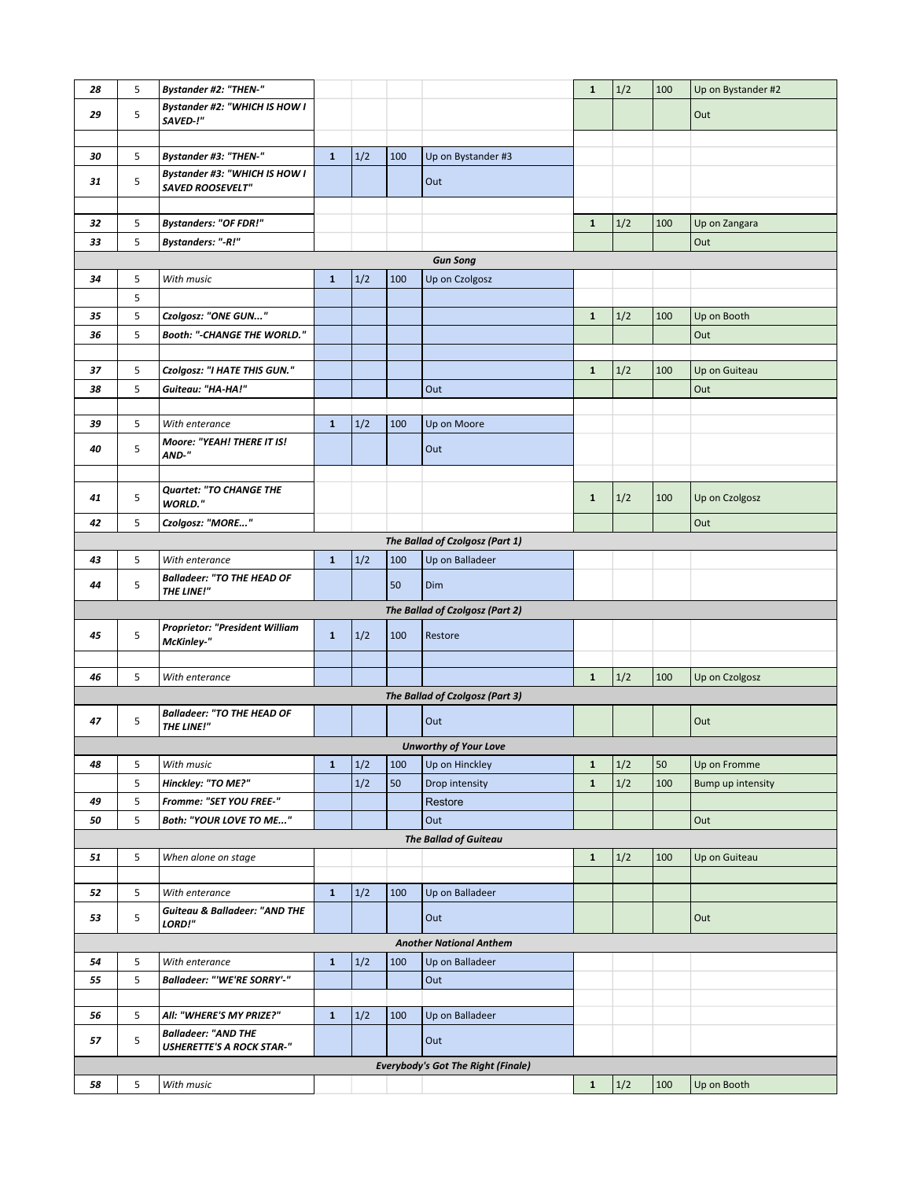| 28 | 5 | <b>Bystander #2: "THEN-"</b>                    |              |     |     |                                           | $\mathbf{1}$ | 1/2   | 100 | Up on Bystander #2 |
|----|---|-------------------------------------------------|--------------|-----|-----|-------------------------------------------|--------------|-------|-----|--------------------|
|    |   | <b>Bystander #2: "WHICH IS HOW I</b>            |              |     |     |                                           |              |       |     |                    |
| 29 | 5 | SAVED-!"                                        |              |     |     |                                           |              |       |     | Out                |
|    |   |                                                 |              |     |     |                                           |              |       |     |                    |
| 30 | 5 | <b>Bystander #3: "THEN-"</b>                    | $\mathbf{1}$ | 1/2 | 100 | Up on Bystander #3                        |              |       |     |                    |
|    |   | <b>Bystander #3: "WHICH IS HOW I</b>            |              |     |     |                                           |              |       |     |                    |
| 31 | 5 | SAVED ROOSEVELT"                                |              |     |     | Out                                       |              |       |     |                    |
|    |   |                                                 |              |     |     |                                           |              |       |     |                    |
| 32 | 5 | <b>Bystanders: "OF FDR!"</b>                    |              |     |     |                                           | $\mathbf{1}$ | 1/2   | 100 | Up on Zangara      |
| 33 | 5 | <b>Bystanders: "-R!"</b>                        |              |     |     |                                           |              |       |     | Out                |
|    |   |                                                 |              |     |     | <b>Gun Song</b>                           |              |       |     |                    |
| 34 | 5 | With music                                      | $\mathbf{1}$ | 1/2 | 100 | Up on Czolgosz                            |              |       |     |                    |
|    | 5 |                                                 |              |     |     |                                           |              |       |     |                    |
| 35 | 5 | Czolgosz: "ONE GUN"                             |              |     |     |                                           | $\mathbf{1}$ | 1/2   | 100 | Up on Booth        |
| 36 | 5 | Booth: "-CHANGE THE WORLD."                     |              |     |     |                                           |              |       |     | Out                |
|    |   |                                                 |              |     |     |                                           |              |       |     |                    |
| 37 | 5 | Czolgosz: "I HATE THIS GUN."                    |              |     |     |                                           | $\mathbf{1}$ | 1/2   | 100 | Up on Guiteau      |
| 38 | 5 | Guiteau: "HA-HA!"                               |              |     |     | Out                                       |              |       |     | Out                |
|    |   |                                                 |              |     |     |                                           |              |       |     |                    |
| 39 | 5 | With enterance                                  | $\mathbf{1}$ | 1/2 | 100 | Up on Moore                               |              |       |     |                    |
|    |   | Moore: "YEAH! THERE IT IS!                      |              |     |     |                                           |              |       |     |                    |
| 40 | 5 | AND-"                                           |              |     |     | Out                                       |              |       |     |                    |
|    |   |                                                 |              |     |     |                                           |              |       |     |                    |
|    |   | <b>Quartet: "TO CHANGE THE</b>                  |              |     |     |                                           |              |       |     |                    |
| 41 | 5 | <b>WORLD."</b>                                  |              |     |     |                                           | $\mathbf{1}$ | 1/2   | 100 | Up on Czolgosz     |
| 42 | 5 | Czolgosz: "MORE"                                |              |     |     |                                           |              |       |     | Out                |
|    |   |                                                 |              |     |     | The Ballad of Czolgosz (Part 1)           |              |       |     |                    |
| 43 | 5 | With enterance                                  | $\mathbf{1}$ | 1/2 | 100 | Up on Balladeer                           |              |       |     |                    |
|    | 5 | <b>Balladeer: "TO THE HEAD OF</b>               |              |     | 50  | Dim                                       |              |       |     |                    |
| 44 |   | THE LINE!"                                      |              |     |     |                                           |              |       |     |                    |
|    |   |                                                 |              |     |     | The Ballad of Czolgosz (Part 2)           |              |       |     |                    |
| 45 | 5 | Proprietor: "President William                  | $\mathbf{1}$ | 1/2 | 100 | Restore                                   |              |       |     |                    |
|    |   | McKinley-"                                      |              |     |     |                                           |              |       |     |                    |
|    |   |                                                 |              |     |     |                                           |              |       |     |                    |
| 46 | 5 | With enterance                                  |              |     |     |                                           | $\mathbf{1}$ | 1/2   | 100 | Up on Czolgosz     |
|    |   |                                                 |              |     |     | The Ballad of Czolgosz (Part 3)           |              |       |     |                    |
| 47 | 5 | <b>Balladeer: "TO THE HEAD OF</b><br>THE LINE!" |              |     |     | Out                                       |              |       |     | Out                |
|    |   |                                                 |              |     |     |                                           |              |       |     |                    |
|    |   |                                                 |              |     |     | <b>Unworthy of Your Love</b>              |              |       |     |                    |
| 48 | 5 | With music                                      | $\mathbf{1}$ | 1/2 | 100 | Up on Hinckley                            | ${\bf 1}$    | 1/2   | 50  | Up on Fromme       |
|    | 5 | Hinckley: "TO ME?"                              |              | 1/2 | 50  | Drop intensity                            | ${\bf 1}$    | $1/2$ | 100 | Bump up intensity  |
| 49 | 5 | Fromme: "SET YOU FREE-"                         |              |     |     | Restore                                   |              |       |     |                    |
| 50 | 5 | Both: "YOUR LOVE TO ME"                         |              |     |     | Out                                       |              |       |     | Out                |
|    |   |                                                 |              |     |     | <b>The Ballad of Guiteau</b>              |              |       |     |                    |
| 51 | 5 | When alone on stage                             |              |     |     |                                           | $\mathbf{1}$ | 1/2   | 100 | Up on Guiteau      |
|    |   |                                                 |              |     |     |                                           |              |       |     |                    |
| 52 | 5 | With enterance                                  | $\mathbf{1}$ | 1/2 | 100 | Up on Balladeer                           |              |       |     |                    |
| 53 | 5 | <b>Guiteau &amp; Balladeer: "AND THE</b>        |              |     |     | Out                                       |              |       |     | Out                |
|    |   | LORD!"                                          |              |     |     |                                           |              |       |     |                    |
|    |   |                                                 |              |     |     | <b>Another National Anthem</b>            |              |       |     |                    |
| 54 | 5 | With enterance                                  | $\mathbf{1}$ | 1/2 | 100 | Up on Balladeer                           |              |       |     |                    |
| 55 | 5 | <b>Balladeer: "'WE'RE SORRY'-"</b>              |              |     |     | Out                                       |              |       |     |                    |
|    |   |                                                 |              |     |     |                                           |              |       |     |                    |
| 56 | 5 | All: "WHERE'S MY PRIZE?"                        | $\mathbf{1}$ | 1/2 | 100 | Up on Balladeer                           |              |       |     |                    |
| 57 | 5 | <b>Balladeer: "AND THE</b>                      |              |     |     | Out                                       |              |       |     |                    |
|    |   | <b>USHERETTE'S A ROCK STAR-"</b>                |              |     |     |                                           |              |       |     |                    |
|    |   |                                                 |              |     |     | <b>Everybody's Got The Right (Finale)</b> |              |       |     |                    |
| 58 | 5 | With music                                      |              |     |     |                                           | $\mathbf{1}$ | $1/2$ | 100 | Up on Booth        |